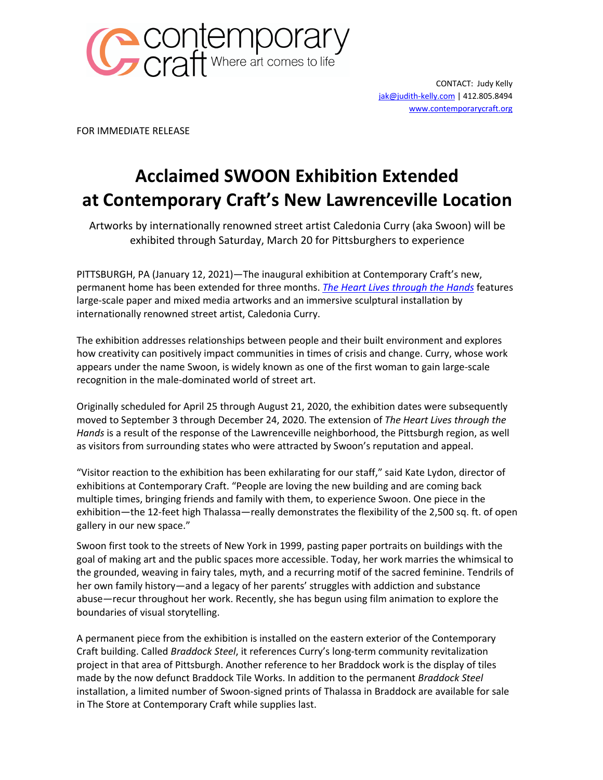

CONTACT: Judy Kelly jak@judith-kelly.com | 412.805.8494 www.contemporarycraft.org

FOR IMMEDIATE RELEASE

## **Acclaimed SWOON Exhibition Extended at Contemporary Craft's New Lawrenceville Location**

Artworks by internationally renowned street artist Caledonia Curry (aka Swoon) will be exhibited through Saturday, March 20 for Pittsburghers to experience

PITTSBURGH, PA (January 12, 2021)—The inaugural exhibition at Contemporary Craft's new, permanent home has been extended for three months. *The Heart Lives through the Hands* features large-scale paper and mixed media artworks and an immersive sculptural installation by internationally renowned street artist, Caledonia Curry.

The exhibition addresses relationships between people and their built environment and explores how creativity can positively impact communities in times of crisis and change. Curry, whose work appears under the name Swoon, is widely known as one of the first woman to gain large-scale recognition in the male-dominated world of street art.

Originally scheduled for April 25 through August 21, 2020, the exhibition dates were subsequently moved to September 3 through December 24, 2020. The extension of *The Heart Lives through the Hands* is a result of the response of the Lawrenceville neighborhood, the Pittsburgh region, as well as visitors from surrounding states who were attracted by Swoon's reputation and appeal.

"Visitor reaction to the exhibition has been exhilarating for our staff," said Kate Lydon, director of exhibitions at Contemporary Craft. "People are loving the new building and are coming back multiple times, bringing friends and family with them, to experience Swoon. One piece in the exhibition—the 12-feet high Thalassa—really demonstrates the flexibility of the 2,500 sq. ft. of open gallery in our new space."

Swoon first took to the streets of New York in 1999, pasting paper portraits on buildings with the goal of making art and the public spaces more accessible. Today, her work marries the whimsical to the grounded, weaving in fairy tales, myth, and a recurring motif of the sacred feminine. Tendrils of her own family history—and a legacy of her parents' struggles with addiction and substance abuse—recur throughout her work. Recently, she has begun using film animation to explore the boundaries of visual storytelling.

A permanent piece from the exhibition is installed on the eastern exterior of the Contemporary Craft building. Called *Braddock Steel*, it references Curry's long-term community revitalization project in that area of Pittsburgh. Another reference to her Braddock work is the display of tiles made by the now defunct Braddock Tile Works. In addition to the permanent *Braddock Steel*  installation, a limited number of Swoon-signed prints of Thalassa in Braddock are available for sale in The Store at Contemporary Craft while supplies last.